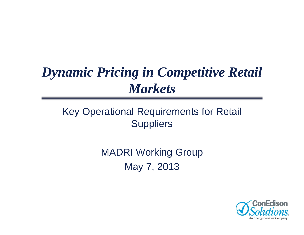# *Dynamic Pricing in Competitive Retail Markets*

# Key Operational Requirements for Retail **Suppliers**

MADRI Working Group May 7, 2013

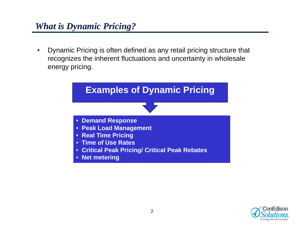### *What is Dynamic Pricing?*

 $\bullet$  Dynamic Pricing is often defined as any retail pricing structure that recognizes the inherent fluctuations and uncertainty in wholesale energy pricing.



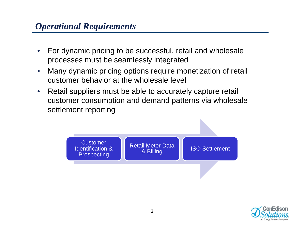- $\bullet$  For dynamic pricing to be successful, retail and wholesale processes must be seamlessly integrated
- $\bullet$  Many dynamic pricing options require monetization of retail customer behavior at the wholesale level
- $\bullet$  Retail suppliers must be able to accurately capture retail customer consumption and demand patterns via wholesale settlement reporting



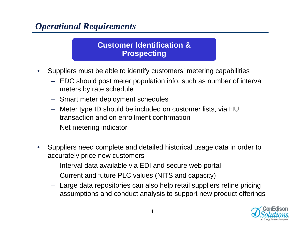#### **Customer Identification & Prospecting**

- $\bullet$  Suppliers must be able to identify customers' metering capabilities
	- EDC should post meter population info, such as number of interval meters by rate schedule
	- Smart meter deployment schedules
	- Meter type ID should be included on customer lists, via HU transaction and on enrollment confirmation
	- Net metering indicator
- • Suppliers need complete and detailed historical usage data in order to accurately price new customers
	- Interval data available via EDI and secure web portal
	- Current and future PLC values (NITS and capacity)
	- Large data repositories can also help retail suppliers refine pricing assumptions and conduct analysis to support new product offerings

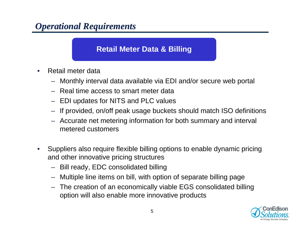#### **Retail Meter Data & Billing**

- • Retail meter data
	- Monthly interval data available via EDI and/or secure web portal
	- Real time access to smart meter data
	- EDI updates for NITS and PLC values
	- If provided, on/off peak usage buckets should match ISO definitions
	- Accurate net metering information for both summary and interval metered customers
- $\bullet$  Suppliers also require flexible billing options to enable dynamic pricing and other innovative pricing structures
	- Bill ready, EDC consolidated billing
	- Multiple line items on bill, with option of separate billing page
	- The creation of an economically viable EGS consolidated billing option will also enable more innovative products

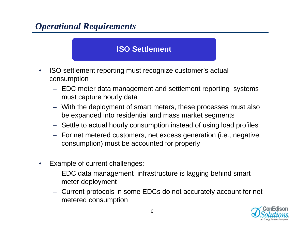#### **ISO Settlement**

- • ISO settlement reporting must recognize customer's actual consumption
	- EDC meter data management and settlement reporting systems must capture hourly data
	- With the deployment of smart meters, these processes must also be expanded into residential and mass market segments
	- Settle to actual hourly consumption instead of using load profiles
	- For net metered customers, net excess generation (i.e., negative consumption) must be accounted for properly
- • Example of current challenges:
	- EDC data management infrastructure is lagging behind smart meter deployment
	- Current protocols in some EDCs do not accurately account for net metered consumption

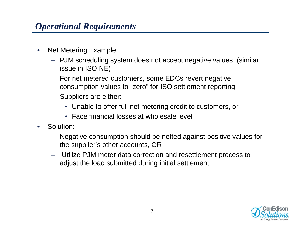- $\bullet$  Net Metering Example:
	- PJM scheduling system does not accept negative values (similar issue in ISO NE)
	- For net metered customers, some EDCs revert negative consumption values to "zero" for ISO settlement reporting
	- Suppliers are either:
		- Unable to offer full net metering credit to customers, or
		- Face financial losses at wholesale level
- $\bullet$  Solution:
	- Negative consumption should be netted against positive values for the supplier's other accounts, OR
	- Utilize PJM meter data correction and resettlement process to adjust the load submitted during initial settlement

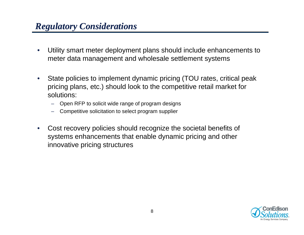# *Regulatory Considerations*

- $\bullet$  Utility smart meter deployment plans should include enhancements to meter data management and wholesale settlement systems
- $\bullet$  State policies to implement dynamic pricing (TOU rates, critical peak pricing plans, etc.) should look to the competitive retail market for solutions:
	- Open RFP to solicit wide range of program designs
	- Competitive solicitation to select program supplier
- $\bullet$  Cost recovery policies should recognize the societal benefits of systems enhancements that enable dynamic pricing and other innovative pricing structures